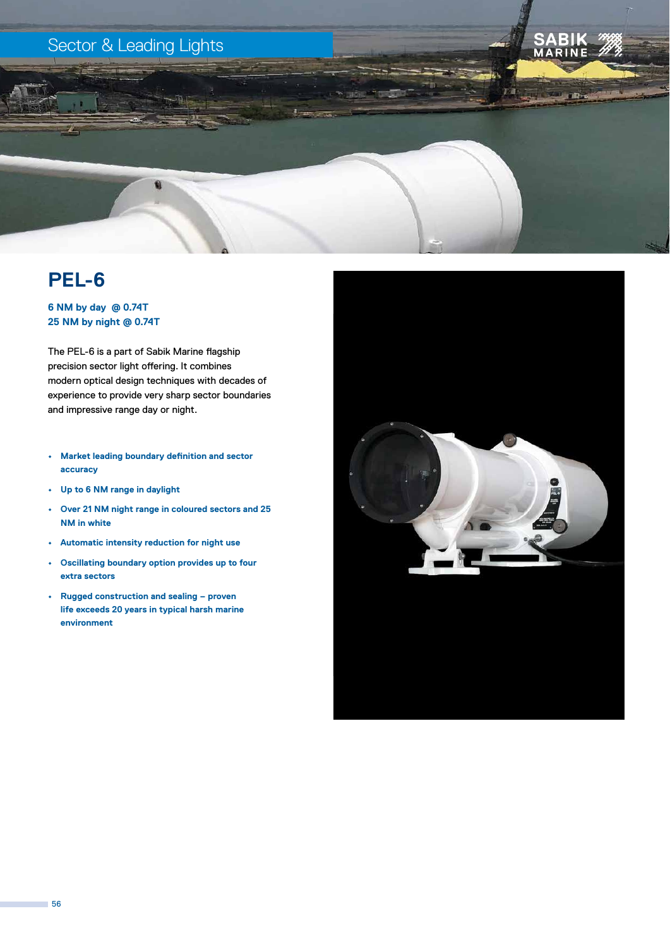



# **PEL-6**

### **6 NM by day @ 0.74T 25 NM by night @ 0.74T**

The PEL-6 is a part of Sabik Marine flagship precision sector light offering. It combines modern optical design techniques with decades of experience to provide very sharp sector boundaries and impressive range day or night.

- **• Market leading boundary definition and sector accuracy**
- **• Up to 6 NM range in daylight**
- **• Over 21 NM night range in coloured sectors and 25 NM in white**
- **• Automatic intensity reduction for night use**
- **• Oscillating boundary option provides up to four extra sectors**
- **• Rugged construction and sealing proven life exceeds 20 years in typical harsh marine environment**